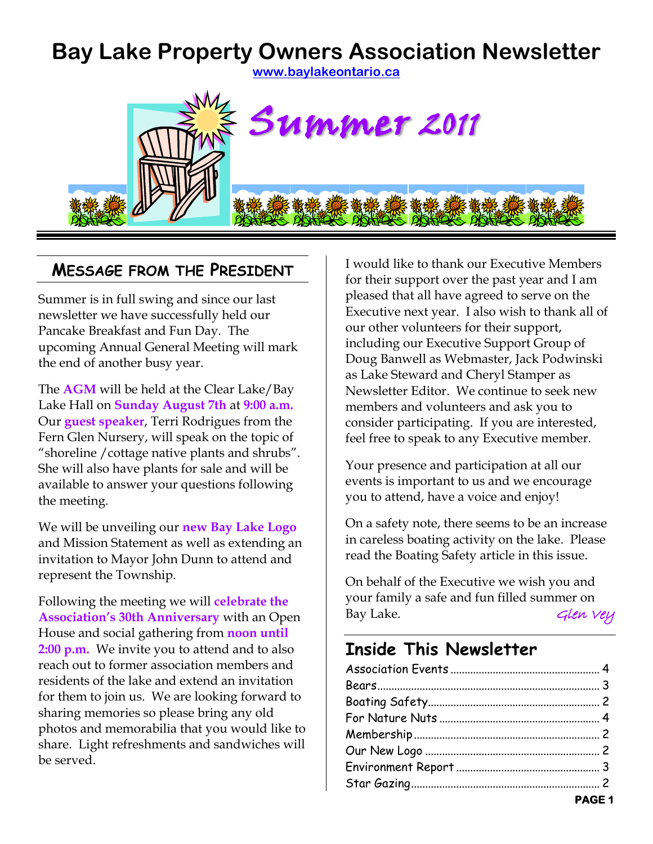# **Bay Lake Property Owners Association Newsletter**





#### **MESSAGE FROM THE PRESIDENT**

Summer is in full swing and since our last newsletter we have successfully held our Pancake Breakfast and Fun Day. The upcoming Annual General Meeting will mark the end of another busy year.

The **AGM** will be held at the Clear Lake/Bay Lake Hall on **Sunday August 7th** at **9:00 a.m.**  Our **guest speaker**, Terri Rodrigues from the Fern Glen Nursery, will speak on the topic of "shoreline /cottage native plants and shrubs". She will also have plants for sale and will be available to answer your questions following the meeting.

We will be unveiling our **new Bay Lake Logo** and Mission Statement as well as extending an invitation to Mayor John Dunn to attend and represent the Township.

Following the meeting we will **celebrate the Association's 30th Anniversary** with an Open House and social gathering from **noon until 2:00 p.m.** We invite you to attend and to also reach out to former association members and residents of the lake and extend an invitation for them to join us. We are looking forward to sharing memories so please bring any old photos and memorabilia that you would like to share. Light refreshments and sandwiches will be served.

I would like to thank our Executive Members for their support over the past year and I am pleased that all have agreed to serve on the Executive next year. I also wish to thank all of our other volunteers for their support, including our Executive Support Group of Doug Banwell as Webmaster, Jack Podwinski as Lake Steward and Cheryl Stamper as Newsletter Editor. We continue to seek new members and volunteers and ask you to consider participating. If you are interested, feel free to speak to any Executive member.

Your presence and participation at all our events is important to us and we encourage you to attend, have a voice and enjoy!

On a safety note, there seems to be an increase in careless boating activity on the lake. Please read the Boating Safety article in this issue.

On behalf of the Executive we wish you and your family a safe and fun filled summer on Bay Lake. Glen Vey

# **Inside This Newsletter**

| <b>Example 2018 PAGE 1</b> |
|----------------------------|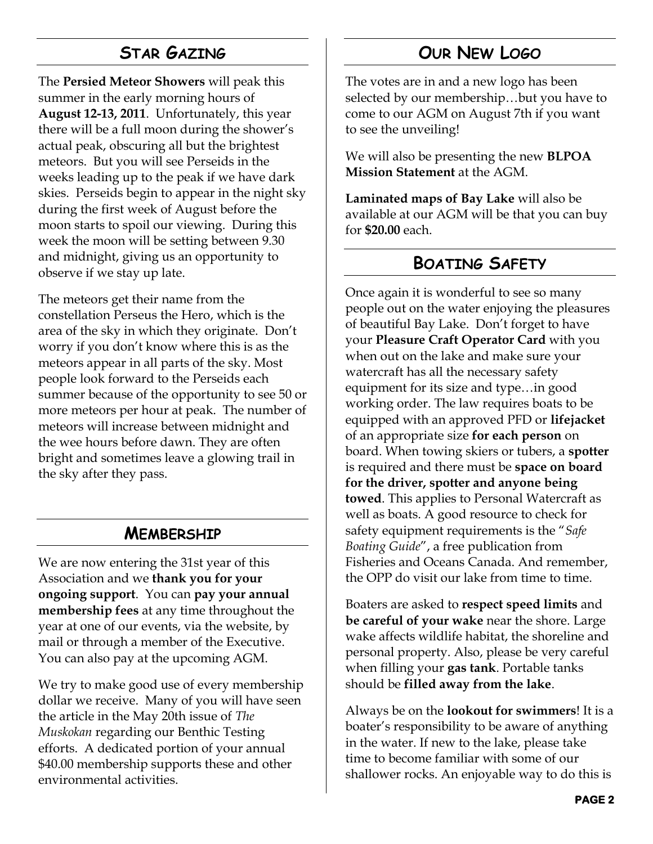## **STAR GAZING**

<span id="page-1-3"></span>The **Persied Meteor Showers** will peak this summer in the early morning hours of **August 12-13, 2011**. Unfortunately, this year there will be a full moon during the shower's actual peak, obscuring all but the brightest meteors. But you will see Perseids in the weeks leading up to the peak if we have dark skies. Perseids begin to appear in the night sky during the first week of August before the moon starts to spoil our viewing. During this week the moon will be setting between 9.30 and midnight, giving us an opportunity to observe if we stay up late.

The meteors get their name from the constellation Perseus the Hero, which is the area of the sky in which they originate. Don't worry if you don't know where this is as the meteors appear in all parts of the sky. Most people look forward to the Perseids each summer because of the opportunity to see 50 or more meteors per hour at peak. The number of meteors will increase between midnight and the wee hours before dawn. They are often bright and sometimes leave a glowing trail in the sky after they pass.

#### **MEMBERSHIP**

<span id="page-1-1"></span>We are now entering the 31st year of this Association and we **thank you for your ongoing support**. You can **pay your annual membership fees** at any time throughout the year at one of our events, via the website, by mail or through a member of the Executive. You can also pay at the upcoming AGM.

We try to make good use of every membership dollar we receive. Many of you will have seen the article in the May 20th issue of *The Muskokan* regarding our Benthic Testing efforts. A dedicated portion of your annual \$40.00 membership supports these and other environmental activities.

## **OUR NEW LOGO**

<span id="page-1-2"></span>The votes are in and a new logo has been selected by our membership…but you have to come to our AGM on August 7th if you want to see the unveiling!

We will also be presenting the new **BLPOA Mission Statement** at the AGM.

**Laminated maps of Bay Lake** will also be available at our AGM will be that you can buy for **\$20.00** each.

#### **BOATING SAFETY**

<span id="page-1-0"></span>Once again it is wonderful to see so many people out on the water enjoying the pleasures of beautiful Bay Lake. Don't forget to have your **Pleasure Craft Operator Card** with you when out on the lake and make sure your watercraft has all the necessary safety equipment for its size and type…in good working order. The law requires boats to be equipped with an approved PFD or **lifejacket** of an appropriate size **for each person** on board. When towing skiers or tubers, a **spotter** is required and there must be **space on board for the driver, spotter and anyone being towed**. This applies to Personal Watercraft as well as boats. A good resource to check for safety equipment requirements is the "*Safe Boating Guide*", a free publication from Fisheries and Oceans Canada. And remember, the OPP do visit our lake from time to time.

Boaters are asked to **respect speed limits** and **be careful of your wake** near the shore. Large wake affects wildlife habitat, the shoreline and personal property. Also, please be very careful when filling your **gas tank**. Portable tanks should be **filled away from the lake**.

Always be on the **lookout for swimmers**! It is a boater's responsibility to be aware of anything in the water. If new to the lake, please take time to become familiar with some of our shallower rocks. An enjoyable way to do this is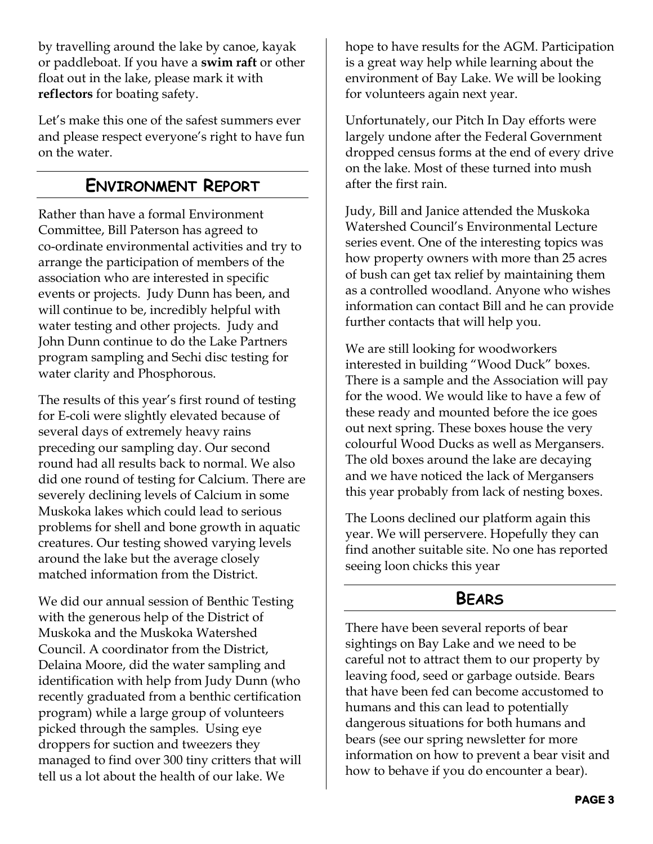by travelling around the lake by canoe, kayak or paddleboat. If you have a **swim raft** or other float out in the lake, please mark it with **reflectors** for boating safety.

Let's make this one of the safest summers ever and please respect everyone's right to have fun on the water.

### **ENVIRONMENT REPORT**

<span id="page-2-1"></span>Rather than have a formal Environment Committee, Bill Paterson has agreed to co-ordinate environmental activities and try to arrange the participation of members of the association who are interested in specific events or projects. Judy Dunn has been, and will continue to be, incredibly helpful with water testing and other projects. Judy and John Dunn continue to do the Lake Partners program sampling and Sechi disc testing for water clarity and Phosphorous.

The results of this year's first round of testing for E-coli were slightly elevated because of several days of extremely heavy rains preceding our sampling day. Our second round had all results back to normal. We also did one round of testing for Calcium. There are severely declining levels of Calcium in some Muskoka lakes which could lead to serious problems for shell and bone growth in aquatic creatures. Our testing showed varying levels around the lake but the average closely matched information from the District.

We did our annual session of Benthic Testing with the generous help of the District of Muskoka and the Muskoka Watershed Council. A coordinator from the District, Delaina Moore, did the water sampling and identification with help from Judy Dunn (who recently graduated from a benthic certification program) while a large group of volunteers picked through the samples. Using eye droppers for suction and tweezers they managed to find over 300 tiny critters that will tell us a lot about the health of our lake. We

hope to have results for the AGM. Participation is a great way help while learning about the environment of Bay Lake. We will be looking for volunteers again next year.

Unfortunately, our Pitch In Day efforts were largely undone after the Federal Government dropped census forms at the end of every drive on the lake. Most of these turned into mush after the first rain.

Judy, Bill and Janice attended the Muskoka Watershed Council's Environmental Lecture series event. One of the interesting topics was how property owners with more than 25 acres of bush can get tax relief by maintaining them as a controlled woodland. Anyone who wishes information can contact Bill and he can provide further contacts that will help you.

We are still looking for woodworkers interested in building "Wood Duck" boxes. There is a sample and the Association will pay for the wood. We would like to have a few of these ready and mounted before the ice goes out next spring. These boxes house the very colourful Wood Ducks as well as Mergansers. The old boxes around the lake are decaying and we have noticed the lack of Mergansers this year probably from lack of nesting boxes.

The Loons declined our platform again this year. We will perservere. Hopefully they can find another suitable site. No one has reported seeing loon chicks this year

#### **BEARS**

<span id="page-2-0"></span>There have been several reports of bear sightings on Bay Lake and we need to be careful not to attract them to our property by leaving food, seed or garbage outside. Bears that have been fed can become accustomed to humans and this can lead to potentially dangerous situations for both humans and bears (see our spring newsletter for more information on how to prevent a bear visit and how to behave if you do encounter a bear).